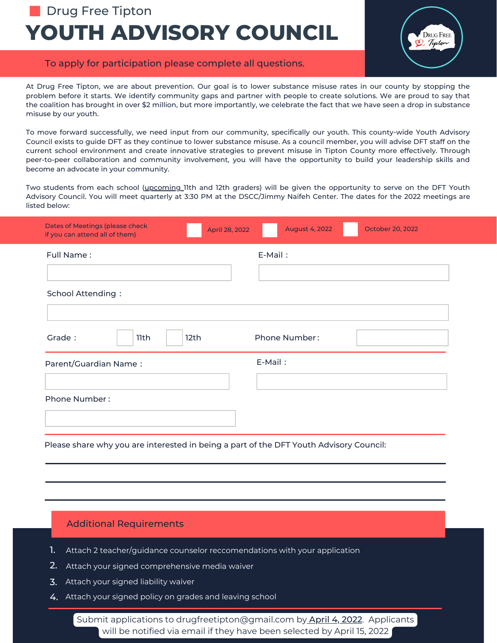# **YOUTH ADVISORY COUNCIL Drug Free Tipton**



# To apply for participation please complete all questions.

At Drug Free Tipton, we are about prevention. Our goal is to lower substance misuse rates in our county by stopping the problem before it starts. We identify community gaps and partner with people to create solutions. We are proud to say that the coalition has brought in over \$2 million, but more importantly, we celebrate the fact that we have seen a drop in substance misuse by our youth.

To move forward successfully, we need input from our community, specifically our youth. This county-wide Youth Advisory Council exists to guide DFT as they continue to lower substance misuse. As a council member, you will advise DFT staff on the current school environment and create innovative strategies to prevent misuse in Tipton County more effectively. Through peer-to-peer collaboration and community involvement, you will have the opportunity to build your leadership skills and become an advocate in your community.

Two students from each school (upcoming 11th and 12th graders) will be given the opportunity to serve on the DFT Youth Advisory Council. You will meet quarterly at 3:30 PM at the DSCC/Jimmy Naifeh Center. The dates for the 2022 meetings are listed below:

| Dates of Meetings (please check<br>if you can attend all of them) | April 28, 2022 | <b>August 4, 2022</b> | October 20, 2022 |
|-------------------------------------------------------------------|----------------|-----------------------|------------------|
| Full Name:                                                        |                | E-Mail:               |                  |
| <b>School Attending:</b>                                          |                |                       |                  |
| Grade:<br>12th<br>11th                                            |                | <b>Phone Number:</b>  |                  |
| Parent/Guardian Name:                                             |                | E-Mail:               |                  |
| Phone Number:                                                     |                |                       |                  |
|                                                                   |                |                       |                  |

Please share why you are interested in being a part of the DFT Youth Advisory Council:

### Additional Requirements

- Attach 2 teacher/guidance counselor reccomendations with your application 1.
- 2. Attach your signed comprehensive media waiver
- $\mathbf 3.$  Attach your signed liability waiver
- 4. Attach your signed policy on grades and leaving school

Submit applications to drugfreetipton@gmail.com by April 4, 2022. Applicants will be notified via email if they have been selected by April 15, 2022